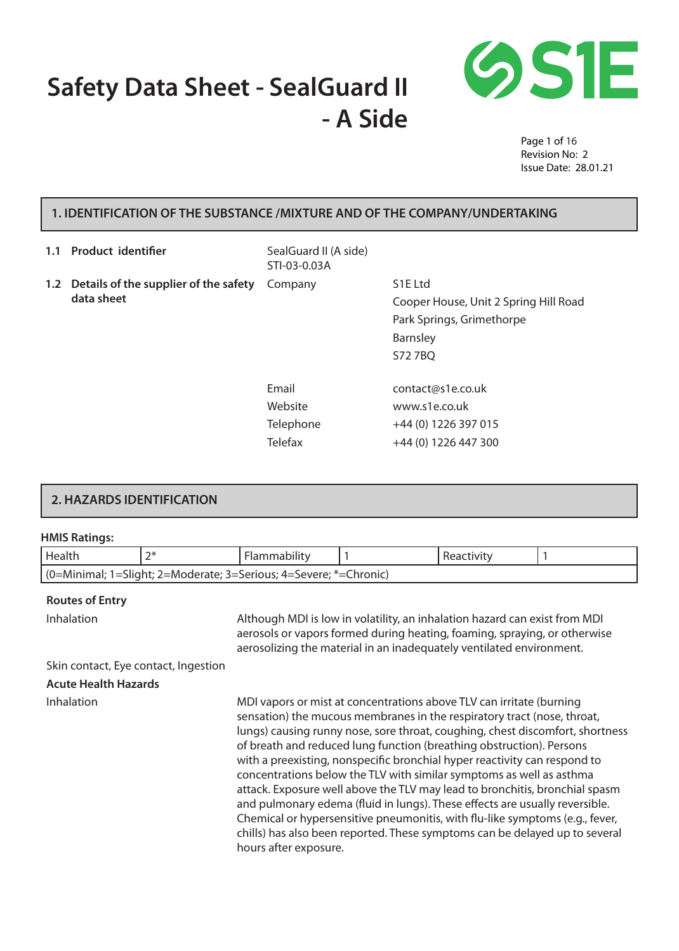# **Safety Data Sheet - SealGuard II - A Side**



Page 1 of 16 Revision No: 2 Issue Date: 28.01.21

# **1. IDENTIFICATION OF THE SUBSTANCE /MIXTURE AND OF THE COMPANY/UNDERTAKING**

| 1.1 | <b>Product identifier</b>                               | SealGuard II (A side)<br>STI-03-0.03A           |                                                                                                                         |
|-----|---------------------------------------------------------|-------------------------------------------------|-------------------------------------------------------------------------------------------------------------------------|
|     | 1.2 Details of the supplier of the safety<br>data sheet | Company                                         | S <sub>1</sub> E Ltd<br>Cooper House, Unit 2 Spring Hill Road<br>Park Springs, Grimethorpe<br>Barnsley<br><b>S727BQ</b> |
|     |                                                         | Email<br>Website<br>Telephone<br><b>Telefax</b> | contact@s1e.co.uk<br>www.s1e.co.uk<br>+44 (0) 1226 397 015<br>+44 (0) 1226 447 300                                      |

# **2. HAZARDS IDENTIFICATION**

#### **HMIS Ratings:**

| Health                                                                                                                                                                                                                                                                                                                       | $2*$ | Flammability                                                                                                                                                                                                                    |  | Reactivity |  |
|------------------------------------------------------------------------------------------------------------------------------------------------------------------------------------------------------------------------------------------------------------------------------------------------------------------------------|------|---------------------------------------------------------------------------------------------------------------------------------------------------------------------------------------------------------------------------------|--|------------|--|
|                                                                                                                                                                                                                                                                                                                              |      | (0=Minimal; 1=Slight; 2=Moderate; 3=Serious; 4=Severe; *=Chronic)                                                                                                                                                               |  |            |  |
| <b>Routes of Entry</b>                                                                                                                                                                                                                                                                                                       |      |                                                                                                                                                                                                                                 |  |            |  |
|                                                                                                                                                                                                                                                                                                                              |      |                                                                                                                                                                                                                                 |  |            |  |
| <b>Inhalation</b>                                                                                                                                                                                                                                                                                                            |      | Although MDI is low in volatility, an inhalation hazard can exist from MDI<br>aerosols or vapors formed during heating, foaming, spraying, or otherwise<br>aerosolizing the material in an inadequately ventilated environment. |  |            |  |
| Skin contact, Eye contact, Ingestion                                                                                                                                                                                                                                                                                         |      |                                                                                                                                                                                                                                 |  |            |  |
| <b>Acute Health Hazards</b>                                                                                                                                                                                                                                                                                                  |      |                                                                                                                                                                                                                                 |  |            |  |
| <b>Inhalation</b><br>MDI vapors or mist at concentrations above TLV can irritate (burning<br>sensation) the mucous membranes in the respiratory tract (nose, throat,<br>lungs) causing runny nose, sore throat, coughing, chest discomfort, shortness<br>of breath and reduced lung function (breathing obstruction) Persons |      |                                                                                                                                                                                                                                 |  |            |  |

of breath and reduced lung function (breathing obstruction). Persons with a preexisting, nonspecific bronchial hyper reactivity can respond to concentrations below the TLV with similar symptoms as well as asthma attack. Exposure well above the TLV may lead to bronchitis, bronchial spasm and pulmonary edema (fluid in lungs). These effects are usually reversible. Chemical or hypersensitive pneumonitis, with flu-like symptoms (e.g., fever, chills) has also been reported. These symptoms can be delayed up to several hours after exposure.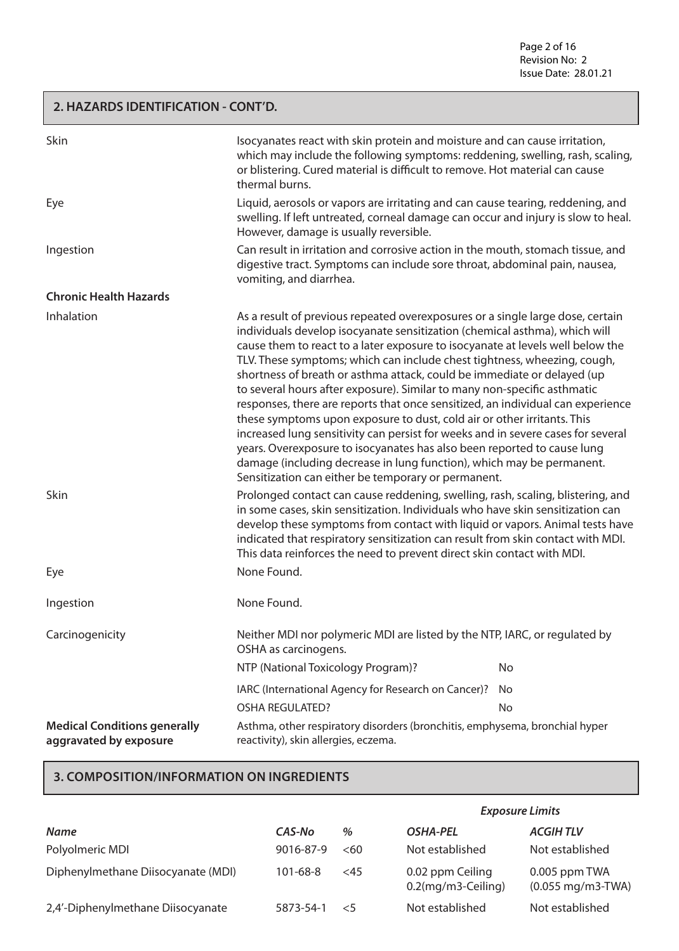Page 2 of 16 Revision No: 2 Issue Date: 28.01.21

## **2. HAZARDS IDENTIFICATION - CONT'D.**

| Skin                                                          | Isocyanates react with skin protein and moisture and can cause irritation,<br>which may include the following symptoms: reddening, swelling, rash, scaling,<br>or blistering. Cured material is difficult to remove. Hot material can cause<br>thermal burns.                                                                                                                                                                                                                                                                                                                                                                                                                                                                                                                                                                                                                                                                                  |    |
|---------------------------------------------------------------|------------------------------------------------------------------------------------------------------------------------------------------------------------------------------------------------------------------------------------------------------------------------------------------------------------------------------------------------------------------------------------------------------------------------------------------------------------------------------------------------------------------------------------------------------------------------------------------------------------------------------------------------------------------------------------------------------------------------------------------------------------------------------------------------------------------------------------------------------------------------------------------------------------------------------------------------|----|
| Eye                                                           | Liquid, aerosols or vapors are irritating and can cause tearing, reddening, and<br>swelling. If left untreated, corneal damage can occur and injury is slow to heal.<br>However, damage is usually reversible.                                                                                                                                                                                                                                                                                                                                                                                                                                                                                                                                                                                                                                                                                                                                 |    |
| Ingestion                                                     | Can result in irritation and corrosive action in the mouth, stomach tissue, and<br>digestive tract. Symptoms can include sore throat, abdominal pain, nausea,<br>vomiting, and diarrhea.                                                                                                                                                                                                                                                                                                                                                                                                                                                                                                                                                                                                                                                                                                                                                       |    |
| <b>Chronic Health Hazards</b>                                 |                                                                                                                                                                                                                                                                                                                                                                                                                                                                                                                                                                                                                                                                                                                                                                                                                                                                                                                                                |    |
| Inhalation                                                    | As a result of previous repeated overexposures or a single large dose, certain<br>individuals develop isocyanate sensitization (chemical asthma), which will<br>cause them to react to a later exposure to isocyanate at levels well below the<br>TLV. These symptoms; which can include chest tightness, wheezing, cough,<br>shortness of breath or asthma attack, could be immediate or delayed (up<br>to several hours after exposure). Similar to many non-specific asthmatic<br>responses, there are reports that once sensitized, an individual can experience<br>these symptoms upon exposure to dust, cold air or other irritants. This<br>increased lung sensitivity can persist for weeks and in severe cases for several<br>years. Overexposure to isocyanates has also been reported to cause lung<br>damage (including decrease in lung function), which may be permanent.<br>Sensitization can either be temporary or permanent. |    |
| Skin                                                          | Prolonged contact can cause reddening, swelling, rash, scaling, blistering, and<br>in some cases, skin sensitization. Individuals who have skin sensitization can<br>develop these symptoms from contact with liquid or vapors. Animal tests have<br>indicated that respiratory sensitization can result from skin contact with MDI.<br>This data reinforces the need to prevent direct skin contact with MDI.                                                                                                                                                                                                                                                                                                                                                                                                                                                                                                                                 |    |
| Eye                                                           | None Found.                                                                                                                                                                                                                                                                                                                                                                                                                                                                                                                                                                                                                                                                                                                                                                                                                                                                                                                                    |    |
| Ingestion                                                     | None Found.                                                                                                                                                                                                                                                                                                                                                                                                                                                                                                                                                                                                                                                                                                                                                                                                                                                                                                                                    |    |
| Carcinogenicity                                               | Neither MDI nor polymeric MDI are listed by the NTP, IARC, or regulated by<br>OSHA as carcinogens.                                                                                                                                                                                                                                                                                                                                                                                                                                                                                                                                                                                                                                                                                                                                                                                                                                             |    |
|                                                               | NTP (National Toxicology Program)?                                                                                                                                                                                                                                                                                                                                                                                                                                                                                                                                                                                                                                                                                                                                                                                                                                                                                                             | No |
|                                                               | IARC (International Agency for Research on Cancer)?<br>No.                                                                                                                                                                                                                                                                                                                                                                                                                                                                                                                                                                                                                                                                                                                                                                                                                                                                                     |    |
|                                                               | <b>OSHA REGULATED?</b>                                                                                                                                                                                                                                                                                                                                                                                                                                                                                                                                                                                                                                                                                                                                                                                                                                                                                                                         | No |
| <b>Medical Conditions generally</b><br>aggravated by exposure | Asthma, other respiratory disorders (bronchitis, emphysema, bronchial hyper<br>reactivity), skin allergies, eczema.                                                                                                                                                                                                                                                                                                                                                                                                                                                                                                                                                                                                                                                                                                                                                                                                                            |    |

# **3. COMPOSITION/INFORMATION ON INGREDIENTS**

|                                    |                |       | <b>Exposure Limits</b>                 |                                              |
|------------------------------------|----------------|-------|----------------------------------------|----------------------------------------------|
| <b>Name</b>                        | CAS-No         | %     | <b>OSHA-PEL</b>                        | <b>ACGIHTLV</b>                              |
| Polyolmeric MDI                    | 9016-87-9      | <60   | Not established                        | Not established                              |
| Diphenylmethane Diisocyanate (MDI) | $101 - 68 - 8$ | <45   | 0.02 ppm Ceiling<br>0.2(mg/m3-Ceiling) | 0.005 ppm TWA<br>$(0.055 \text{ mg/m3-TWA})$ |
| 2,4'-Diphenylmethane Diisocyanate  | 5873-54-1      | $<$ 5 | Not established                        | Not established                              |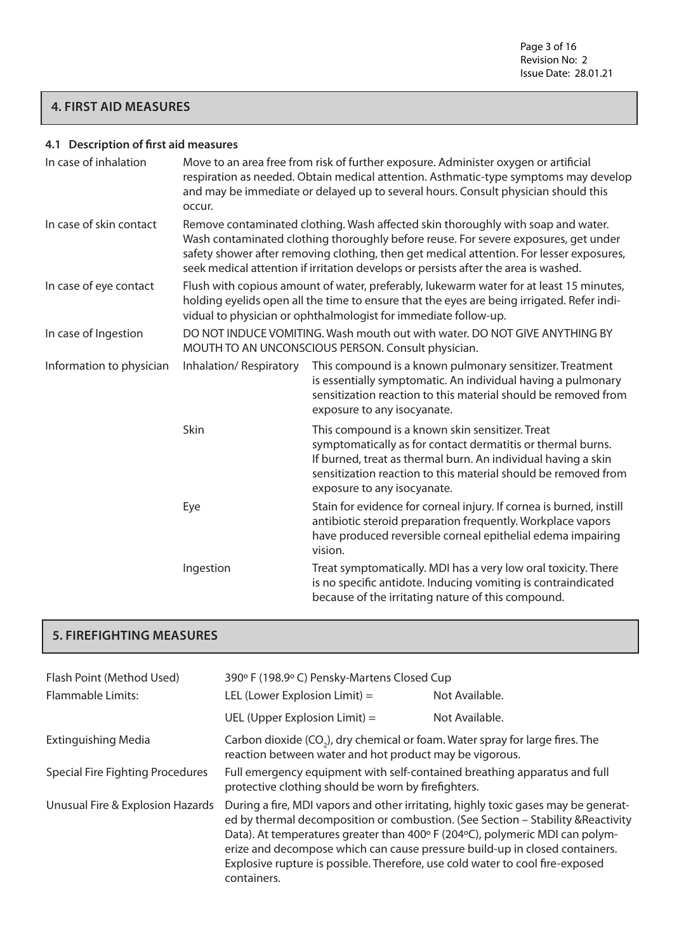# **4. FIRST AID MEASURES**

# **4.1 Description of first aid measures**

| In case of inhalation    | Move to an area free from risk of further exposure. Administer oxygen or artificial<br>respiration as needed. Obtain medical attention. Asthmatic-type symptoms may develop<br>and may be immediate or delayed up to several hours. Consult physician should this<br>occur.                                                                                |                                                                                                                                                                                                                                                                                  |  |
|--------------------------|------------------------------------------------------------------------------------------------------------------------------------------------------------------------------------------------------------------------------------------------------------------------------------------------------------------------------------------------------------|----------------------------------------------------------------------------------------------------------------------------------------------------------------------------------------------------------------------------------------------------------------------------------|--|
| In case of skin contact  | Remove contaminated clothing. Wash affected skin thoroughly with soap and water.<br>Wash contaminated clothing thoroughly before reuse. For severe exposures, get under<br>safety shower after removing clothing, then get medical attention. For lesser exposures,<br>seek medical attention if irritation develops or persists after the area is washed. |                                                                                                                                                                                                                                                                                  |  |
| In case of eye contact   | Flush with copious amount of water, preferably, lukewarm water for at least 15 minutes,<br>holding eyelids open all the time to ensure that the eyes are being irrigated. Refer indi-<br>vidual to physician or ophthalmologist for immediate follow-up.                                                                                                   |                                                                                                                                                                                                                                                                                  |  |
| In case of Ingestion     | DO NOT INDUCE VOMITING. Wash mouth out with water. DO NOT GIVE ANYTHING BY<br>MOUTH TO AN UNCONSCIOUS PERSON. Consult physician.                                                                                                                                                                                                                           |                                                                                                                                                                                                                                                                                  |  |
| Information to physician | Inhalation/Respiratory                                                                                                                                                                                                                                                                                                                                     | This compound is a known pulmonary sensitizer. Treatment<br>is essentially symptomatic. An individual having a pulmonary<br>sensitization reaction to this material should be removed from<br>exposure to any isocyanate.                                                        |  |
|                          | Skin                                                                                                                                                                                                                                                                                                                                                       | This compound is a known skin sensitizer. Treat<br>symptomatically as for contact dermatitis or thermal burns.<br>If burned, treat as thermal burn. An individual having a skin<br>sensitization reaction to this material should be removed from<br>exposure to any isocyanate. |  |
|                          | Eye                                                                                                                                                                                                                                                                                                                                                        | Stain for evidence for corneal injury. If cornea is burned, instill<br>antibiotic steroid preparation frequently. Workplace vapors<br>have produced reversible corneal epithelial edema impairing<br>vision.                                                                     |  |
|                          | Ingestion                                                                                                                                                                                                                                                                                                                                                  | Treat symptomatically. MDI has a very low oral toxicity. There<br>is no specific antidote. Inducing vomiting is contraindicated<br>because of the irritating nature of this compound.                                                                                            |  |

# **5. FIREFIGHTING MEASURES**

| Flash Point (Method Used)<br><b>Flammable Limits:</b> | 390° F (198.9° C) Pensky-Martens Closed Cup<br>LEL (Lower Explosion Limit) $=$<br>Not Available.                                                                                                                                                                                                                                                                                                                                      |                |  |
|-------------------------------------------------------|---------------------------------------------------------------------------------------------------------------------------------------------------------------------------------------------------------------------------------------------------------------------------------------------------------------------------------------------------------------------------------------------------------------------------------------|----------------|--|
|                                                       | UEL (Upper Explosion Limit) $=$                                                                                                                                                                                                                                                                                                                                                                                                       | Not Available. |  |
| <b>Extinguishing Media</b>                            | Carbon dioxide (CO <sub>2</sub> ), dry chemical or foam. Water spray for large fires. The<br>reaction between water and hot product may be vigorous.                                                                                                                                                                                                                                                                                  |                |  |
| <b>Special Fire Fighting Procedures</b>               | Full emergency equipment with self-contained breathing apparatus and full<br>protective clothing should be worn by firefighters.                                                                                                                                                                                                                                                                                                      |                |  |
| Unusual Fire & Explosion Hazards                      | During a fire, MDI vapors and other irritating, highly toxic gases may be generat-<br>ed by thermal decomposition or combustion. (See Section - Stability & Reactivity<br>Data). At temperatures greater than 400° F (204°C), polymeric MDI can polym-<br>erize and decompose which can cause pressure build-up in closed containers.<br>Explosive rupture is possible. Therefore, use cold water to cool fire-exposed<br>containers. |                |  |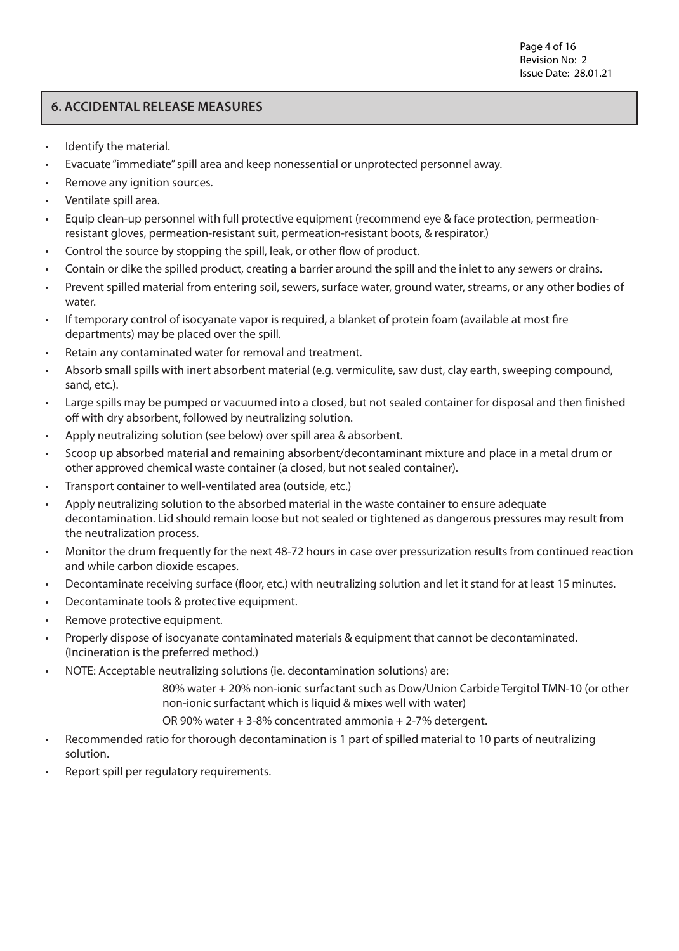# **6. ACCIDENTAL RELEASE MEASURES**

- Identify the material.
- Evacuate "immediate" spill area and keep nonessential or unprotected personnel away.
- Remove any ignition sources.
- Ventilate spill area.
- Equip clean-up personnel with full protective equipment (recommend eye & face protection, permeationresistant gloves, permeation-resistant suit, permeation-resistant boots, & respirator.)
- Control the source by stopping the spill, leak, or other flow of product.
- Contain or dike the spilled product, creating a barrier around the spill and the inlet to any sewers or drains.
- Prevent spilled material from entering soil, sewers, surface water, ground water, streams, or any other bodies of water.
- If temporary control of isocyanate vapor is required, a blanket of protein foam (available at most fire departments) may be placed over the spill.
- Retain any contaminated water for removal and treatment.
- Absorb small spills with inert absorbent material (e.g. vermiculite, saw dust, clay earth, sweeping compound, sand, etc.).
- Large spills may be pumped or vacuumed into a closed, but not sealed container for disposal and then finished off with dry absorbent, followed by neutralizing solution.
- Apply neutralizing solution (see below) over spill area & absorbent.
- Scoop up absorbed material and remaining absorbent/decontaminant mixture and place in a metal drum or other approved chemical waste container (a closed, but not sealed container).
- Transport container to well-ventilated area (outside, etc.)
- Apply neutralizing solution to the absorbed material in the waste container to ensure adequate decontamination. Lid should remain loose but not sealed or tightened as dangerous pressures may result from the neutralization process.
- Monitor the drum frequently for the next 48-72 hours in case over pressurization results from continued reaction and while carbon dioxide escapes.
- Decontaminate receiving surface (floor, etc.) with neutralizing solution and let it stand for at least 15 minutes.
- Decontaminate tools & protective equipment.
- Remove protective equipment.
- Properly dispose of isocyanate contaminated materials & equipment that cannot be decontaminated. (Incineration is the preferred method.)
- NOTE: Acceptable neutralizing solutions (ie. decontamination solutions) are:
	- 80% water + 20% non-ionic surfactant such as Dow/Union Carbide Tergitol TMN-10 (or other non-ionic surfactant which is liquid & mixes well with water)

OR 90% water + 3-8% concentrated ammonia + 2-7% detergent.

- Recommended ratio for thorough decontamination is 1 part of spilled material to 10 parts of neutralizing solution.
- Report spill per regulatory requirements.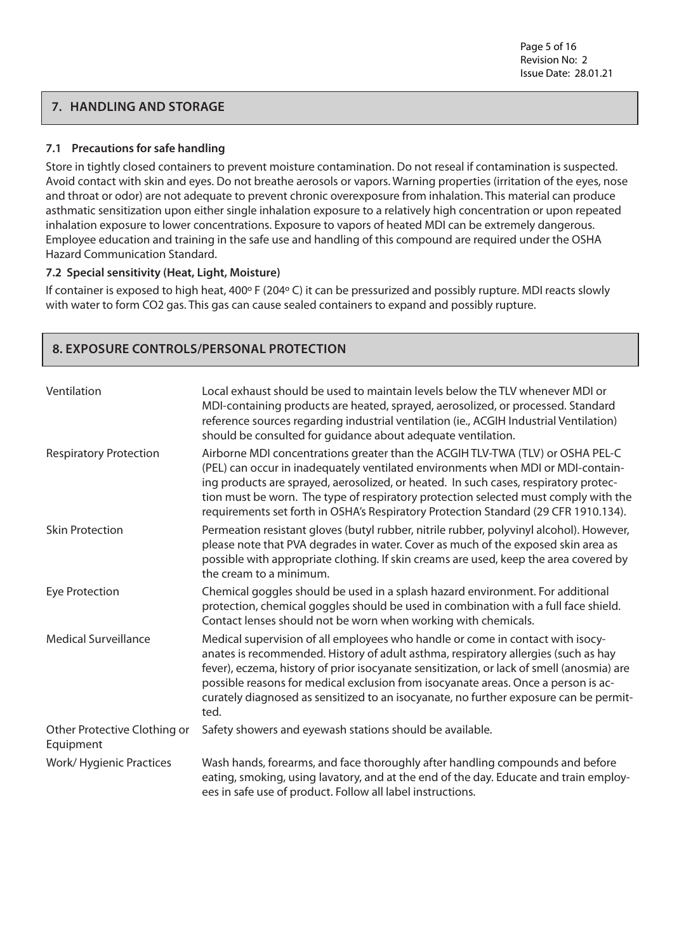# **7. HANDLING AND STORAGE**

#### **7.1 Precautions for safe handling**

Store in tightly closed containers to prevent moisture contamination. Do not reseal if contamination is suspected. Avoid contact with skin and eyes. Do not breathe aerosols or vapors. Warning properties (irritation of the eyes, nose and throat or odor) are not adequate to prevent chronic overexposure from inhalation. This material can produce asthmatic sensitization upon either single inhalation exposure to a relatively high concentration or upon repeated inhalation exposure to lower concentrations. Exposure to vapors of heated MDI can be extremely dangerous. Employee education and training in the safe use and handling of this compound are required under the OSHA Hazard Communication Standard.

#### **7.2 Special sensitivity (Heat, Light, Moisture)**

**8. EXPOSURE CONTROLS/PERSONAL PROTECTION**

If container is exposed to high heat, 400º F (204º C) it can be pressurized and possibly rupture. MDI reacts slowly with water to form CO2 gas. This gas can cause sealed containers to expand and possibly rupture.

| Ventilation                               | Local exhaust should be used to maintain levels below the TLV whenever MDI or<br>MDI-containing products are heated, sprayed, aerosolized, or processed. Standard<br>reference sources regarding industrial ventilation (ie., ACGIH Industrial Ventilation)<br>should be consulted for quidance about adequate ventilation.                                                                                                                              |
|-------------------------------------------|----------------------------------------------------------------------------------------------------------------------------------------------------------------------------------------------------------------------------------------------------------------------------------------------------------------------------------------------------------------------------------------------------------------------------------------------------------|
| <b>Respiratory Protection</b>             | Airborne MDI concentrations greater than the ACGIH TLV-TWA (TLV) or OSHA PEL-C<br>(PEL) can occur in inadequately ventilated environments when MDI or MDI-contain-<br>ing products are sprayed, aerosolized, or heated. In such cases, respiratory protec-<br>tion must be worn. The type of respiratory protection selected must comply with the<br>requirements set forth in OSHA's Respiratory Protection Standard (29 CFR 1910.134).                 |
| <b>Skin Protection</b>                    | Permeation resistant gloves (butyl rubber, nitrile rubber, polyvinyl alcohol). However,<br>please note that PVA degrades in water. Cover as much of the exposed skin area as<br>possible with appropriate clothing. If skin creams are used, keep the area covered by<br>the cream to a minimum.                                                                                                                                                         |
| <b>Eye Protection</b>                     | Chemical goggles should be used in a splash hazard environment. For additional<br>protection, chemical goggles should be used in combination with a full face shield.<br>Contact lenses should not be worn when working with chemicals.                                                                                                                                                                                                                  |
| <b>Medical Surveillance</b>               | Medical supervision of all employees who handle or come in contact with isocy-<br>anates is recommended. History of adult asthma, respiratory allergies (such as hay<br>fever), eczema, history of prior isocyanate sensitization, or lack of smell (anosmia) are<br>possible reasons for medical exclusion from isocyanate areas. Once a person is ac-<br>curately diagnosed as sensitized to an isocyanate, no further exposure can be permit-<br>ted. |
| Other Protective Clothing or<br>Equipment | Safety showers and eyewash stations should be available.                                                                                                                                                                                                                                                                                                                                                                                                 |
| Work/Hygienic Practices                   | Wash hands, forearms, and face thoroughly after handling compounds and before<br>eating, smoking, using lavatory, and at the end of the day. Educate and train employ-<br>ees in safe use of product. Follow all label instructions.                                                                                                                                                                                                                     |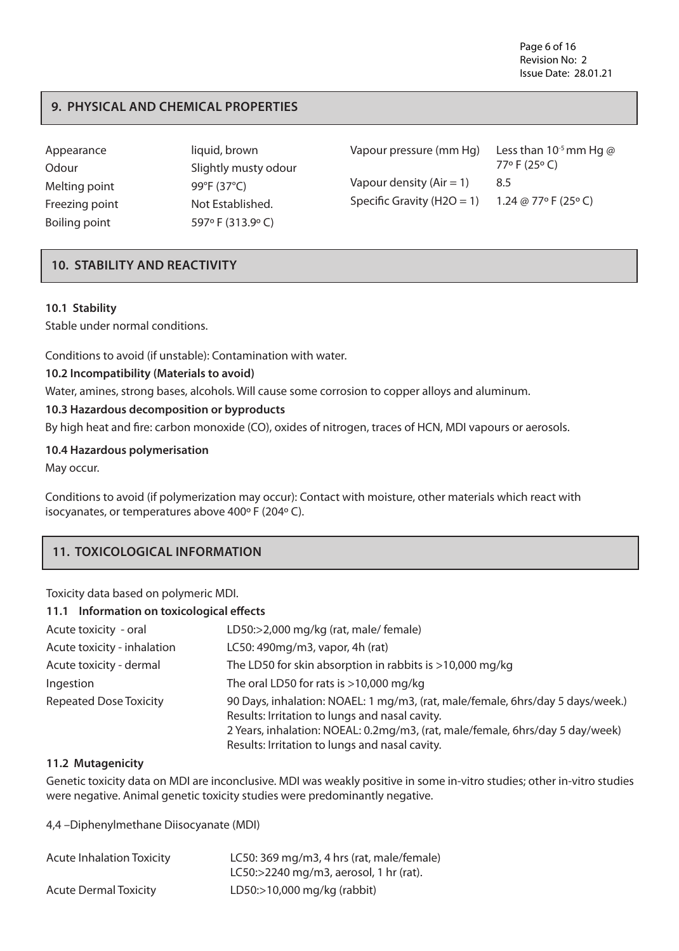Page 6 of 16 Revision No: 2 Issue Date: 28.01.21

### **9. PHYSICAL AND CHEMICAL PROPERTIES**

| Appearance<br>Odour | liquid, brown<br>Slightly musty odour | Vapour pressure (mm Hg)        | Less than $10^{-5}$ mm Hg @<br>77°F (25°C) |
|---------------------|---------------------------------------|--------------------------------|--------------------------------------------|
| Melting point       | 99°F (37°C)                           | Vapour density $(Air = 1)$     | 8.5                                        |
| Freezing point      | Not Established.                      | Specific Gravity ( $H2O = 1$ ) | 1.24 @ 77° F (25° C)                       |
| Boiling point       | 597°F (313.9°C)                       |                                |                                            |

#### **10. STABILITY AND REACTIVITY**

#### **10.1 Stability**

Stable under normal conditions.

Conditions to avoid (if unstable): Contamination with water.

#### **10.2 Incompatibility (Materials to avoid)**

Water, amines, strong bases, alcohols. Will cause some corrosion to copper alloys and aluminum.

#### **10.3 Hazardous decomposition or byproducts**

By high heat and fire: carbon monoxide (CO), oxides of nitrogen, traces of HCN, MDI vapours or aerosols.

#### **10.4 Hazardous polymerisation**

May occur.

Conditions to avoid (if polymerization may occur): Contact with moisture, other materials which react with isocyanates, or temperatures above 400º F (204º C).

#### **11. TOXICOLOGICAL INFORMATION**

Toxicity data based on polymeric MDI.

| 11.1 Information on toxicological effects |                                                                                                                                  |  |
|-------------------------------------------|----------------------------------------------------------------------------------------------------------------------------------|--|
| Acute toxicity - oral                     | LD50:>2,000 mg/kg (rat, male/ female)                                                                                            |  |
| Acute toxicity - inhalation               | LC50: 490mg/m3, vapor, 4h (rat)                                                                                                  |  |
| Acute toxicity - dermal                   | The LD50 for skin absorption in rabbits is $>$ 10,000 mg/kg                                                                      |  |
| Ingestion                                 | The oral LD50 for rats is $>10,000$ mg/kg                                                                                        |  |
| <b>Repeated Dose Toxicity</b>             | 90 Days, inhalation: NOAEL: 1 mg/m3, (rat, male/female, 6hrs/day 5 days/week.)<br>Results: Irritation to lungs and nasal cavity. |  |
|                                           | 2 Years, inhalation: NOEAL: 0.2mg/m3, (rat, male/female, 6hrs/day 5 day/week)                                                    |  |
|                                           | Results: Irritation to lungs and nasal cavity.                                                                                   |  |

#### **11.2 Mutagenicity**

Genetic toxicity data on MDI are inconclusive. MDI was weakly positive in some in-vitro studies; other in-vitro studies were negative. Animal genetic toxicity studies were predominantly negative.

4,4 –Diphenylmethane Diisocyanate (MDI)

| <b>Acute Inhalation Toxicity</b> | LC50: 369 mg/m3, 4 hrs (rat, male/female)  |
|----------------------------------|--------------------------------------------|
|                                  | LC50: $>$ 2240 mg/m3, aerosol, 1 hr (rat). |
| <b>Acute Dermal Toxicity</b>     | LD50: $>10,000$ mg/kg (rabbit)             |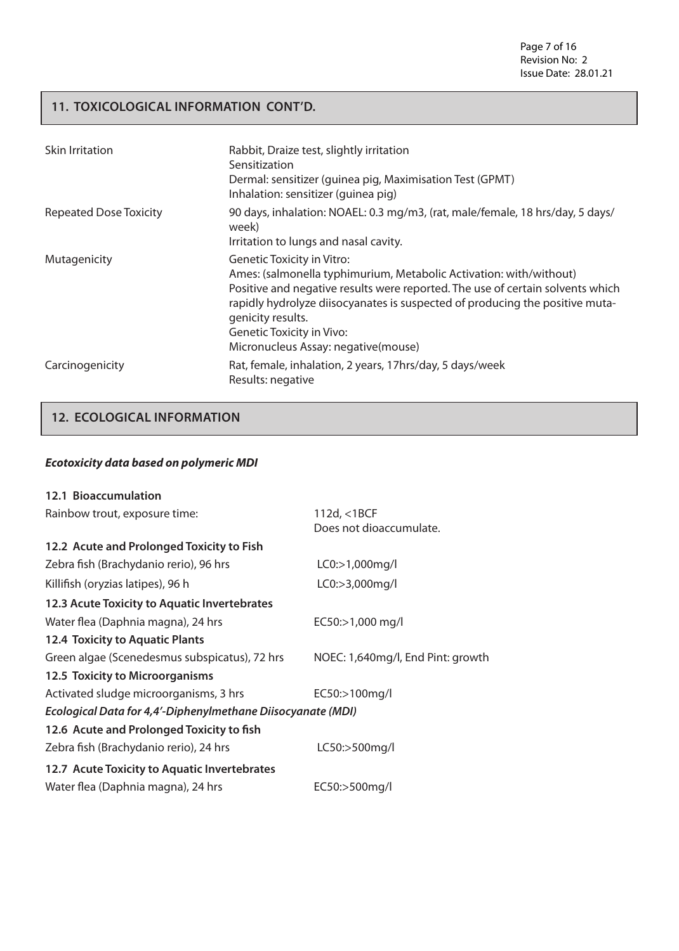Page 7 of 16 Revision No: 2 Issue Date: 28.01.21

## **11. TOXICOLOGICAL INFORMATION CONT'D.**

| Skin Irritation               | Rabbit, Draize test, slightly irritation<br>Sensitization<br>Dermal: sensitizer (quinea pig, Maximisation Test (GPMT)<br>Inhalation: sensitizer (quinea pig)                                                                                                                                                                                                              |
|-------------------------------|---------------------------------------------------------------------------------------------------------------------------------------------------------------------------------------------------------------------------------------------------------------------------------------------------------------------------------------------------------------------------|
| <b>Repeated Dose Toxicity</b> | 90 days, inhalation: NOAEL: 0.3 mg/m3, (rat, male/female, 18 hrs/day, 5 days/<br>week)<br>Irritation to lungs and nasal cavity.                                                                                                                                                                                                                                           |
| Mutagenicity                  | <b>Genetic Toxicity in Vitro:</b><br>Ames: (salmonella typhimurium, Metabolic Activation: with/without)<br>Positive and negative results were reported. The use of certain solvents which<br>rapidly hydrolyze diisocyanates is suspected of producing the positive muta-<br>genicity results.<br><b>Genetic Toxicity in Vivo:</b><br>Micronucleus Assay: negative(mouse) |
| Carcinogenicity               | Rat, female, inhalation, 2 years, 17hrs/day, 5 days/week<br>Results: negative                                                                                                                                                                                                                                                                                             |

# **12. ECOLOGICAL INFORMATION**

#### *Ecotoxicity data based on polymeric MDI*

| 12.1 Bioaccumulation                                        |                                   |
|-------------------------------------------------------------|-----------------------------------|
| Rainbow trout, exposure time:                               | 112d, <1BCF                       |
|                                                             | Does not dioaccumulate.           |
| 12.2 Acute and Prolonged Toxicity to Fish                   |                                   |
| Zebra fish (Brachydanio rerio), 96 hrs                      | LC0:>1,000mg/l                    |
| Killifish (oryzias latipes), 96 h                           | LC0:>3,000mg/l                    |
| 12.3 Acute Toxicity to Aquatic Invertebrates                |                                   |
| Water flea (Daphnia magna), 24 hrs                          | EC50:>1,000 mg/l                  |
| 12.4 Toxicity to Aquatic Plants                             |                                   |
| Green algae (Scenedesmus subspicatus), 72 hrs               | NOEC: 1,640mg/l, End Pint: growth |
| 12.5 Toxicity to Microorganisms                             |                                   |
| Activated sludge microorganisms, 3 hrs                      | EC50:>100mg/l                     |
| Ecological Data for 4,4'-Diphenylmethane Diisocyanate (MDI) |                                   |
| 12.6 Acute and Prolonged Toxicity to fish                   |                                   |
| Zebra fish (Brachydanio rerio), 24 hrs                      | LC50:>500mg/l                     |
| 12.7 Acute Toxicity to Aquatic Invertebrates                |                                   |
| Water flea (Daphnia magna), 24 hrs                          | EC50:>500mg/l                     |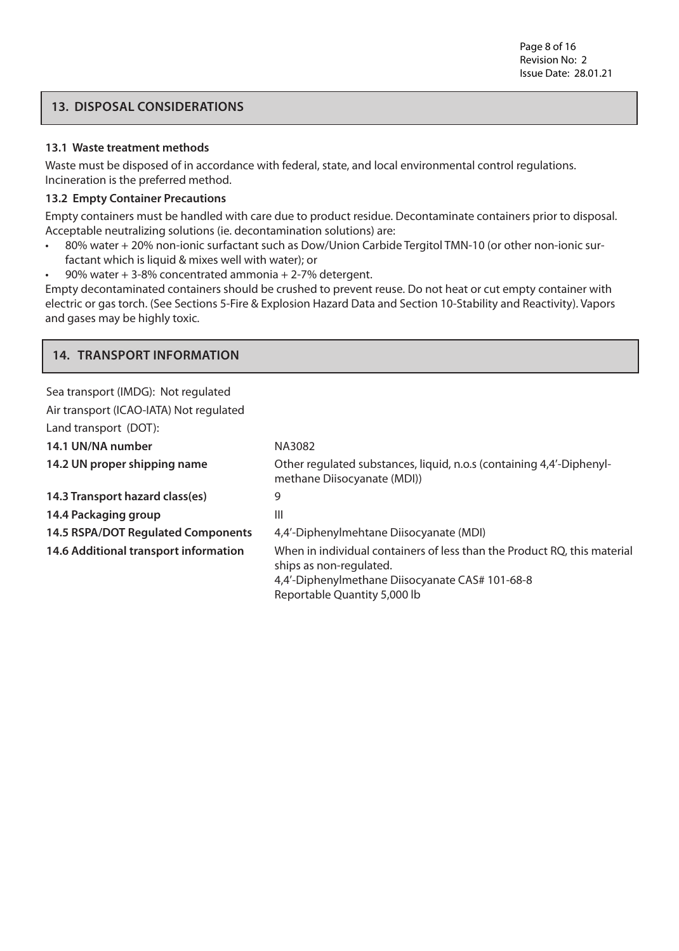# **13. DISPOSAL CONSIDERATIONS**

#### **13.1 Waste treatment methods**

Waste must be disposed of in accordance with federal, state, and local environmental control regulations. Incineration is the preferred method.

#### **13.2 Empty Container Precautions**

Empty containers must be handled with care due to product residue. Decontaminate containers prior to disposal. Acceptable neutralizing solutions (ie. decontamination solutions) are:

- 80% water + 20% non-ionic surfactant such as Dow/Union Carbide Tergitol TMN-10 (or other non-ionic surfactant which is liquid & mixes well with water); or
- 90% water  $+3$ -8% concentrated ammonia  $+2$ -7% detergent.

Empty decontaminated containers should be crushed to prevent reuse. Do not heat or cut empty container with electric or gas torch. (See Sections 5-Fire & Explosion Hazard Data and Section 10-Stability and Reactivity). Vapors and gases may be highly toxic.

# **14. TRANSPORT INFORMATION**

| Sea transport (IMDG): Not regulated       |                                                                                                                                                                                        |
|-------------------------------------------|----------------------------------------------------------------------------------------------------------------------------------------------------------------------------------------|
| Air transport (ICAO-IATA) Not regulated   |                                                                                                                                                                                        |
| Land transport (DOT):                     |                                                                                                                                                                                        |
| 14.1 UN/NA number                         | NA3082                                                                                                                                                                                 |
| 14.2 UN proper shipping name              | Other regulated substances, liquid, n.o.s (containing 4,4'-Diphenyl-<br>methane Diisocyanate (MDI))                                                                                    |
| 14.3 Transport hazard class(es)           | 9                                                                                                                                                                                      |
| 14.4 Packaging group                      | Ш                                                                                                                                                                                      |
| <b>14.5 RSPA/DOT Regulated Components</b> | 4,4'-Diphenylmehtane Diisocyanate (MDI)                                                                                                                                                |
| 14.6 Additional transport information     | When in individual containers of less than the Product RQ, this material<br>ships as non-regulated.<br>4,4'-Diphenylmethane Diisocyanate CAS# 101-68-8<br>Reportable Quantity 5,000 lb |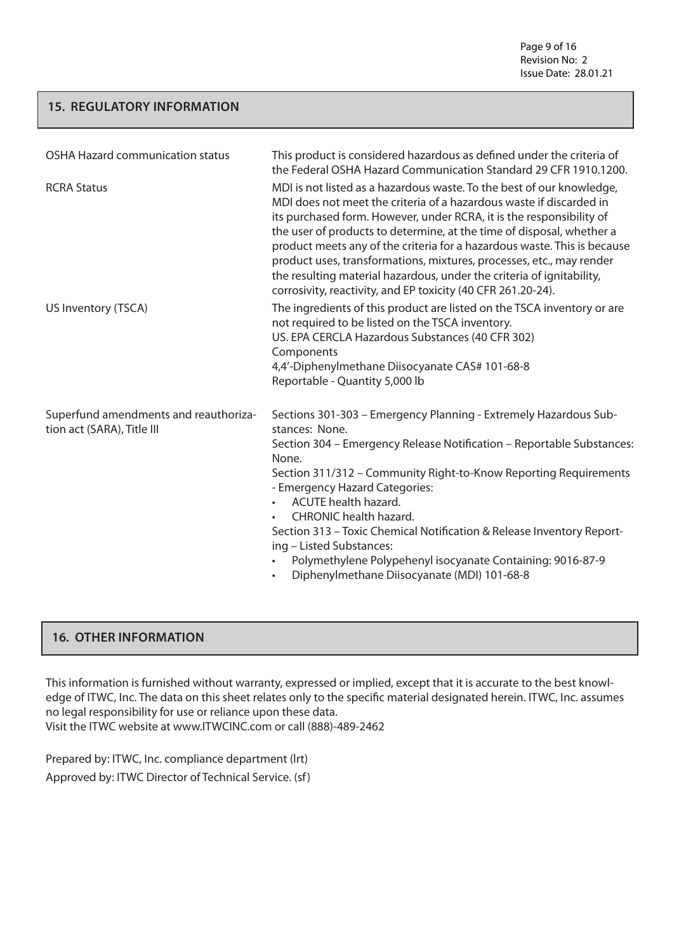Page 9 of 16 Revision No: 2 Issue Date: 28.01.21

## **15. REGULATORY INFORMATION**

| <b>OSHA Hazard communication status</b>                             | This product is considered hazardous as defined under the criteria of<br>the Federal OSHA Hazard Communication Standard 29 CFR 1910.1200.                                                                                                                                                                                                                                                                                                                                                                                                                                                  |
|---------------------------------------------------------------------|--------------------------------------------------------------------------------------------------------------------------------------------------------------------------------------------------------------------------------------------------------------------------------------------------------------------------------------------------------------------------------------------------------------------------------------------------------------------------------------------------------------------------------------------------------------------------------------------|
| <b>RCRA Status</b>                                                  | MDI is not listed as a hazardous waste. To the best of our knowledge,<br>MDI does not meet the criteria of a hazardous waste if discarded in<br>its purchased form. However, under RCRA, it is the responsibility of<br>the user of products to determine, at the time of disposal, whether a<br>product meets any of the criteria for a hazardous waste. This is because<br>product uses, transformations, mixtures, processes, etc., may render<br>the resulting material hazardous, under the criteria of ignitability,<br>corrosivity, reactivity, and EP toxicity (40 CFR 261.20-24). |
| US Inventory (TSCA)                                                 | The ingredients of this product are listed on the TSCA inventory or are<br>not required to be listed on the TSCA inventory.<br>US. EPA CERCLA Hazardous Substances (40 CFR 302)<br>Components<br>4,4'-Diphenylmethane Diisocyanate CAS# 101-68-8<br>Reportable - Quantity 5,000 lb                                                                                                                                                                                                                                                                                                         |
| Superfund amendments and reauthoriza-<br>tion act (SARA), Title III | Sections 301-303 - Emergency Planning - Extremely Hazardous Sub-<br>stances: None.<br>Section 304 - Emergency Release Notification - Reportable Substances:<br>None.<br>Section 311/312 - Community Right-to-Know Reporting Requirements<br>- Emergency Hazard Categories:<br><b>ACUTE</b> health hazard.<br><b>CHRONIC</b> health hazard.<br>Section 313 - Toxic Chemical Notification & Release Inventory Report-<br>ing - Listed Substances:<br>Polymethylene Polypehenyl isocyanate Containing: 9016-87-9<br>Diphenylmethane Diisocyanate (MDI) 101-68-8                               |

## **16. OTHER INFORMATION**

This information is furnished without warranty, expressed or implied, except that it is accurate to the best knowledge of ITWC, Inc. The data on this sheet relates only to the specific material designated herein. ITWC, Inc. assumes no legal responsibility for use or reliance upon these data. Visit the ITWC website at www.ITWCINC.com or call (888)-489-2462

Prepared by: ITWC, Inc. compliance department (lrt) Approved by: ITWC Director of Technical Service. (sf)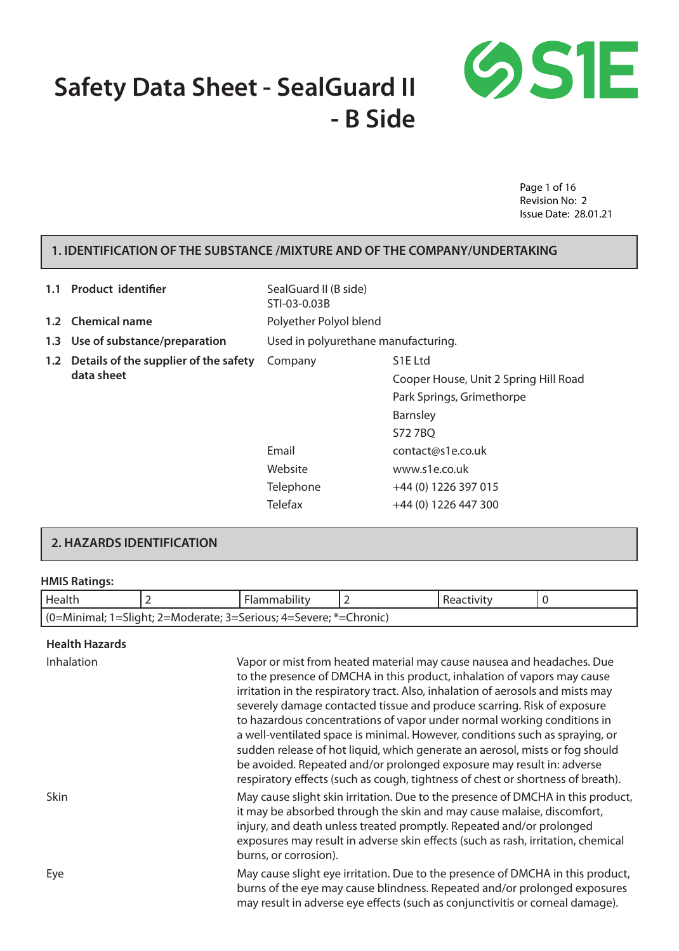# **Safety Data Sheet - SealGuard II - B Side**



Page 1 of 16 Revision No: 2 Issue Date: 28.01.21

## **1. IDENTIFICATION OF THE SUBSTANCE /MIXTURE AND OF THE COMPANY/UNDERTAKING**

| 1.1        | <b>Product identifier</b>             | SealGuard II (B side)<br>STI-03-0.03B |                      |
|------------|---------------------------------------|---------------------------------------|----------------------|
|            | 1.2 Chemical name                     | Polyether Polyol blend                |                      |
|            | 1.3 Use of substance/preparation      | Used in polyurethane manufacturing.   |                      |
| 1.2        | Details of the supplier of the safety | Company                               | S <sub>1</sub> E Ltd |
| data sheet |                                       | Cooper House, Unit 2 Spring Hill Road |                      |
|            |                                       | Park Springs, Grimethorpe             |                      |
|            |                                       |                                       | Barnsley             |
|            |                                       |                                       | S72 7BQ              |
|            | Email                                 | contact@s1e.co.uk                     |                      |
|            | Website                               | www.s1e.co.uk                         |                      |
|            |                                       | Telephone                             | +44 (0) 1226 397 015 |
|            |                                       | <b>Telefax</b>                        | +44 (0) 1226 447 300 |

#### **2. HAZARDS IDENTIFICATION**

#### **HMIS Ratings:**

| Health                                                            |  | Flammability |  | Reactivity |  |
|-------------------------------------------------------------------|--|--------------|--|------------|--|
| (0=Minimal; 1=Slight; 2=Moderate; 3=Serious; 4=Severe; *=Chronic) |  |              |  |            |  |

**Health Hazards**

Inhalation Vapor or mist from heated material may cause nausea and headaches. Due to the presence of DMCHA in this product, inhalation of vapors may cause irritation in the respiratory tract. Also, inhalation of aerosols and mists may severely damage contacted tissue and produce scarring. Risk of exposure to hazardous concentrations of vapor under normal working conditions in a well-ventilated space is minimal. However, conditions such as spraying, or sudden release of hot liquid, which generate an aerosol, mists or fog should be avoided. Repeated and/or prolonged exposure may result in: adverse respiratory effects (such as cough, tightness of chest or shortness of breath). Skin Shin May cause slight skin irritation. Due to the presence of DMCHA in this product, it may be absorbed through the skin and may cause malaise, discomfort, injury, and death unless treated promptly. Repeated and/or prolonged exposures may result in adverse skin effects (such as rash, irritation, chemical burns, or corrosion). Eye May cause slight eye irritation. Due to the presence of DMCHA in this product, burns of the eye may cause blindness. Repeated and/or prolonged exposures

may result in adverse eye effects (such as conjunctivitis or corneal damage).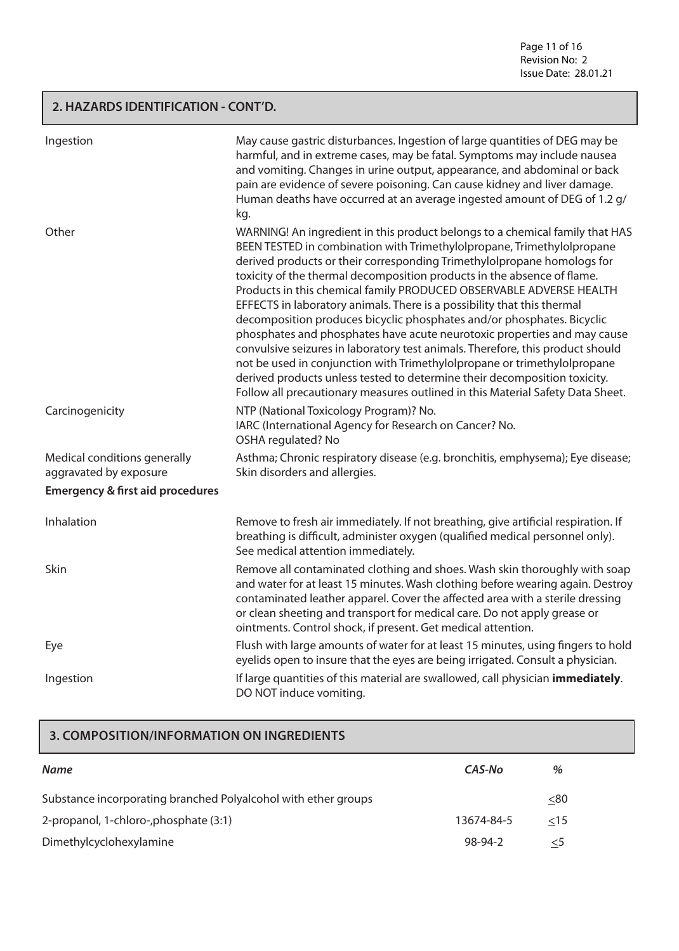Page 11 of 16 Revision No: 2 Issue Date: 28.01.21

## **2. HAZARDS IDENTIFICATION - CONT'D.**

| Ingestion                                                                                             | May cause gastric disturbances. Ingestion of large quantities of DEG may be<br>harmful, and in extreme cases, may be fatal. Symptoms may include nausea<br>and vomiting. Changes in urine output, appearance, and abdominal or back<br>pain are evidence of severe poisoning. Can cause kidney and liver damage.<br>Human deaths have occurred at an average ingested amount of DEG of 1.2 g/<br>kg.                                                                                                                                                                                                                                                                                                                                                                                                                                                                                                                                              |
|-------------------------------------------------------------------------------------------------------|---------------------------------------------------------------------------------------------------------------------------------------------------------------------------------------------------------------------------------------------------------------------------------------------------------------------------------------------------------------------------------------------------------------------------------------------------------------------------------------------------------------------------------------------------------------------------------------------------------------------------------------------------------------------------------------------------------------------------------------------------------------------------------------------------------------------------------------------------------------------------------------------------------------------------------------------------|
| Other                                                                                                 | WARNING! An ingredient in this product belongs to a chemical family that HAS<br>BEEN TESTED in combination with Trimethylolpropane, Trimethylolpropane<br>derived products or their corresponding Trimethylolpropane homologs for<br>toxicity of the thermal decomposition products in the absence of flame.<br>Products in this chemical family PRODUCED OBSERVABLE ADVERSE HEALTH<br>EFFECTS in laboratory animals. There is a possibility that this thermal<br>decomposition produces bicyclic phosphates and/or phosphates. Bicyclic<br>phosphates and phosphates have acute neurotoxic properties and may cause<br>convulsive seizures in laboratory test animals. Therefore, this product should<br>not be used in conjunction with Trimethylolpropane or trimethylolpropane<br>derived products unless tested to determine their decomposition toxicity.<br>Follow all precautionary measures outlined in this Material Safety Data Sheet. |
| Carcinogenicity                                                                                       | NTP (National Toxicology Program)? No.<br>IARC (International Agency for Research on Cancer? No.<br>OSHA regulated? No                                                                                                                                                                                                                                                                                                                                                                                                                                                                                                                                                                                                                                                                                                                                                                                                                            |
| Medical conditions generally<br>aggravated by exposure<br><b>Emergency &amp; first aid procedures</b> | Asthma; Chronic respiratory disease (e.g. bronchitis, emphysema); Eye disease;<br>Skin disorders and allergies.                                                                                                                                                                                                                                                                                                                                                                                                                                                                                                                                                                                                                                                                                                                                                                                                                                   |
| Inhalation                                                                                            | Remove to fresh air immediately. If not breathing, give artificial respiration. If<br>breathing is difficult, administer oxygen (qualified medical personnel only).<br>See medical attention immediately.                                                                                                                                                                                                                                                                                                                                                                                                                                                                                                                                                                                                                                                                                                                                         |
| Skin                                                                                                  | Remove all contaminated clothing and shoes. Wash skin thoroughly with soap<br>and water for at least 15 minutes. Wash clothing before wearing again. Destroy<br>contaminated leather apparel. Cover the affected area with a sterile dressing<br>or clean sheeting and transport for medical care. Do not apply grease or<br>ointments. Control shock, if present. Get medical attention.                                                                                                                                                                                                                                                                                                                                                                                                                                                                                                                                                         |
| Eye                                                                                                   | Flush with large amounts of water for at least 15 minutes, using fingers to hold<br>eyelids open to insure that the eyes are being irrigated. Consult a physician.                                                                                                                                                                                                                                                                                                                                                                                                                                                                                                                                                                                                                                                                                                                                                                                |
| Ingestion                                                                                             | If large quantities of this material are swallowed, call physician immediately.<br>DO NOT induce vomiting.                                                                                                                                                                                                                                                                                                                                                                                                                                                                                                                                                                                                                                                                                                                                                                                                                                        |

# **3. COMPOSITION/INFORMATION ON INGREDIENTS**

| <b>Name</b>                                                    | CAS-No     | %         |
|----------------------------------------------------------------|------------|-----------|
| Substance incorporating branched Polyalcohol with ether groups |            | $\leq 80$ |
| 2-propanol, 1-chloro-, phosphate (3:1)                         | 13674-84-5 | $<$ 15    |
| Dimethylcyclohexylamine                                        | 98-94-2    |           |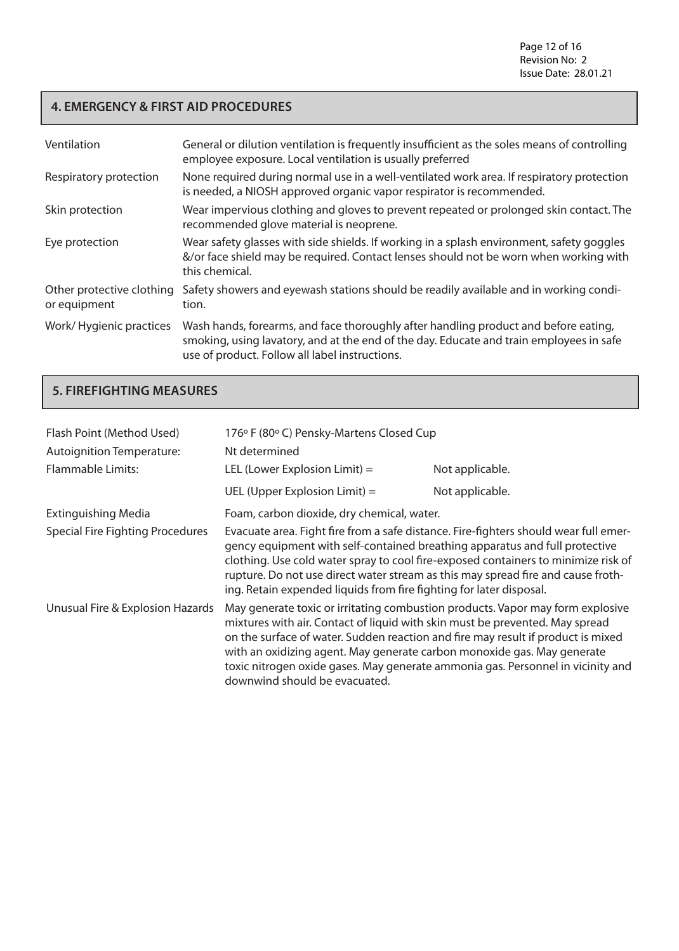# **4. EMERGENCY & FIRST AID PROCEDURES**

| Ventilation                               | General or dilution ventilation is frequently insufficient as the soles means of controlling<br>employee exposure. Local ventilation is usually preferred                                                                        |
|-------------------------------------------|----------------------------------------------------------------------------------------------------------------------------------------------------------------------------------------------------------------------------------|
| Respiratory protection                    | None required during normal use in a well-ventilated work area. If respiratory protection<br>is needed, a NIOSH approved organic vapor respirator is recommended.                                                                |
| Skin protection                           | Wear impervious clothing and gloves to prevent repeated or prolonged skin contact. The<br>recommended glove material is neoprene.                                                                                                |
| Eye protection                            | Wear safety glasses with side shields. If working in a splash environment, safety goggles<br>&/or face shield may be required. Contact lenses should not be worn when working with<br>this chemical.                             |
| Other protective clothing<br>or equipment | Safety showers and eyewash stations should be readily available and in working condi-<br>tion.                                                                                                                                   |
| Work/Hygienic practices                   | Wash hands, forearms, and face thoroughly after handling product and before eating,<br>smoking, using lavatory, and at the end of the day. Educate and train employees in safe<br>use of product. Follow all label instructions. |

# **5. FIREFIGHTING MEASURES**

| Flash Point (Method Used)<br><b>Autoignition Temperature:</b> | 176° F (80° C) Pensky-Martens Closed Cup<br>Nt determined                                                                                                                                                                                                                                                                                                                                                                                         |                 |
|---------------------------------------------------------------|---------------------------------------------------------------------------------------------------------------------------------------------------------------------------------------------------------------------------------------------------------------------------------------------------------------------------------------------------------------------------------------------------------------------------------------------------|-----------------|
| <b>Flammable Limits:</b>                                      | LEL (Lower Explosion Limit) $=$                                                                                                                                                                                                                                                                                                                                                                                                                   | Not applicable. |
|                                                               | UEL (Upper Explosion Limit) $=$                                                                                                                                                                                                                                                                                                                                                                                                                   | Not applicable. |
| <b>Extinguishing Media</b>                                    | Foam, carbon dioxide, dry chemical, water.                                                                                                                                                                                                                                                                                                                                                                                                        |                 |
| <b>Special Fire Fighting Procedures</b>                       | Evacuate area. Fight fire from a safe distance. Fire-fighters should wear full emer-<br>gency equipment with self-contained breathing apparatus and full protective<br>clothing. Use cold water spray to cool fire-exposed containers to minimize risk of<br>rupture. Do not use direct water stream as this may spread fire and cause froth-<br>ing. Retain expended liquids from fire fighting for later disposal.                              |                 |
| Unusual Fire & Explosion Hazards                              | May generate toxic or irritating combustion products. Vapor may form explosive<br>mixtures with air. Contact of liquid with skin must be prevented. May spread<br>on the surface of water. Sudden reaction and fire may result if product is mixed<br>with an oxidizing agent. May generate carbon monoxide gas. May generate<br>toxic nitrogen oxide gases. May generate ammonia gas. Personnel in vicinity and<br>downwind should be evacuated. |                 |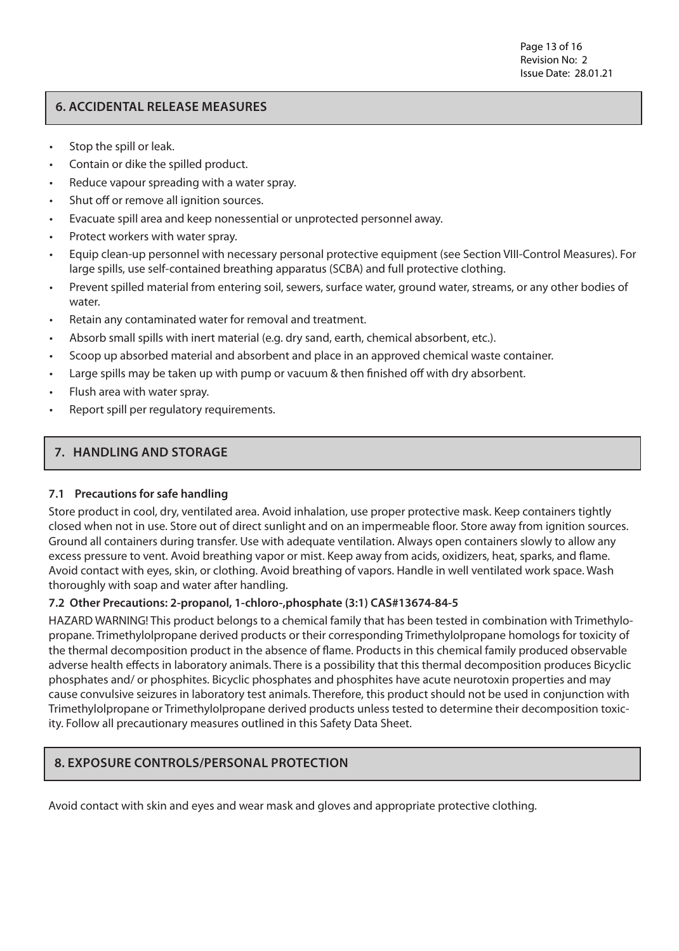# **6. ACCIDENTAL RELEASE MEASURES**

- Stop the spill or leak.
- Contain or dike the spilled product.
- Reduce vapour spreading with a water spray.
- Shut off or remove all ignition sources.
- Evacuate spill area and keep nonessential or unprotected personnel away.
- • Protect workers with water spray.
- Equip clean-up personnel with necessary personal protective equipment (see Section VIII-Control Measures). For large spills, use self-contained breathing apparatus (SCBA) and full protective clothing.
- • Prevent spilled material from entering soil, sewers, surface water, ground water, streams, or any other bodies of water
- Retain any contaminated water for removal and treatment.
- • Absorb small spills with inert material (e.g. dry sand, earth, chemical absorbent, etc.).
- Scoop up absorbed material and absorbent and place in an approved chemical waste container.
- Large spills may be taken up with pump or vacuum & then finished off with dry absorbent.
- Flush area with water spray.
- Report spill per regulatory requirements.

# **7. HANDLING AND STORAGE**

#### **7.1 Precautions for safe handling**

Store product in cool, dry, ventilated area. Avoid inhalation, use proper protective mask. Keep containers tightly closed when not in use. Store out of direct sunlight and on an impermeable floor. Store away from ignition sources. Ground all containers during transfer. Use with adequate ventilation. Always open containers slowly to allow any excess pressure to vent. Avoid breathing vapor or mist. Keep away from acids, oxidizers, heat, sparks, and flame. Avoid contact with eyes, skin, or clothing. Avoid breathing of vapors. Handle in well ventilated work space. Wash thoroughly with soap and water after handling.

# **7.2 Other Precautions: 2-propanol, 1-chloro-,phosphate (3:1) CAS#13674-84-5**

HAZARD WARNING! This product belongs to a chemical family that has been tested in combination with Trimethylopropane. Trimethylolpropane derived products or their corresponding Trimethylolpropane homologs for toxicity of the thermal decomposition product in the absence of flame. Products in this chemical family produced observable adverse health effects in laboratory animals. There is a possibility that this thermal decomposition produces Bicyclic phosphates and/ or phosphites. Bicyclic phosphates and phosphites have acute neurotoxin properties and may cause convulsive seizures in laboratory test animals. Therefore, this product should not be used in conjunction with Trimethylolpropane or Trimethylolpropane derived products unless tested to determine their decomposition toxicity. Follow all precautionary measures outlined in this Safety Data Sheet.

# **8. EXPOSURE CONTROLS/PERSONAL PROTECTION**

Avoid contact with skin and eyes and wear mask and gloves and appropriate protective clothing.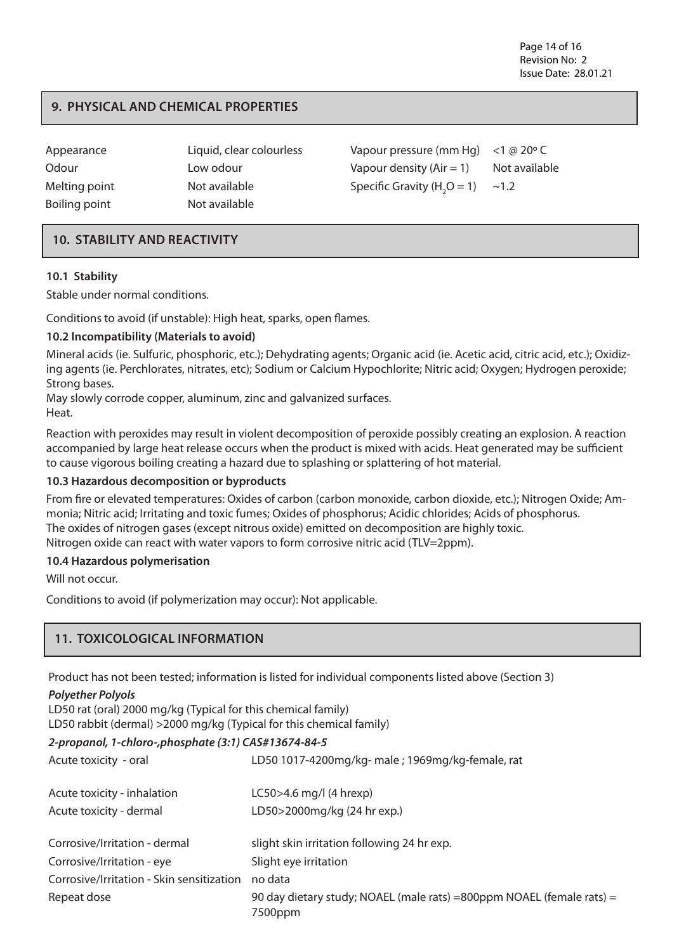Page 14 of 16 Revision No: 2 Issue Date: 28.01.21

# **9. PHYSICAL AND CHEMICAL PROPERTIES**

| Appearance    | Liquid, clear colourless | Vapour pressure (mm Hg) $<$ 1 @ 20 $\degree$ C |               |
|---------------|--------------------------|------------------------------------------------|---------------|
| Odour         | Low odour                | Vapour density $(Air = 1)$                     | Not available |
| Melting point | Not available            | Specific Gravity $(H2O = 1)$                   | $\sim$ 1.2    |
| Boiling point | Not available            |                                                |               |

# **10. STABILITY AND REACTIVITY**

#### **10.1 Stability**

Stable under normal conditions.

Conditions to avoid (if unstable): High heat, sparks, open flames.

#### **10.2 Incompatibility (Materials to avoid)**

Mineral acids (ie. Sulfuric, phosphoric, etc.); Dehydrating agents; Organic acid (ie. Acetic acid, citric acid, etc.); Oxidizing agents (ie. Perchlorates, nitrates, etc); Sodium or Calcium Hypochlorite; Nitric acid; Oxygen; Hydrogen peroxide; Strong bases.

May slowly corrode copper, aluminum, zinc and galvanized surfaces. Heat.

Reaction with peroxides may result in violent decomposition of peroxide possibly creating an explosion. A reaction accompanied by large heat release occurs when the product is mixed with acids. Heat generated may be sufficient to cause vigorous boiling creating a hazard due to splashing or splattering of hot material.

#### **10.3 Hazardous decomposition or byproducts**

From fire or elevated temperatures: Oxides of carbon (carbon monoxide, carbon dioxide, etc.); Nitrogen Oxide; Ammonia; Nitric acid; Irritating and toxic fumes; Oxides of phosphorus; Acidic chlorides; Acids of phosphorus. The oxides of nitrogen gases (except nitrous oxide) emitted on decomposition are highly toxic. Nitrogen oxide can react with water vapors to form corrosive nitric acid (TLV=2ppm).

#### **10.4 Hazardous polymerisation**

Will not occur.

Conditions to avoid (if polymerization may occur): Not applicable.

# **11. TOXICOLOGICAL INFORMATION**

Product has not been tested; information is listed for individual components listed above (Section 3)

#### *Polyether Polyols*

LD50 rat (oral) 2000 mg/kg (Typical for this chemical family) LD50 rabbit (dermal) >2000 mg/kg (Typical for this chemical family)

#### *2-propanol, 1-chloro-,phosphate (3:1) CAS#13674-84-5*

| Acute toxicity - oral                     | LD50 1017-4200mg/kg- male ; 1969mg/kg-female, rat                                 |
|-------------------------------------------|-----------------------------------------------------------------------------------|
| Acute toxicity - inhalation               | $LC50 > 4.6$ mg/l (4 hrexp)                                                       |
| Acute toxicity - dermal                   | LD50>2000mg/kg (24 hr exp.)                                                       |
| Corrosive/Irritation - dermal             | slight skin irritation following 24 hr exp.                                       |
| Corrosive/Irritation - eye                | Slight eye irritation                                                             |
| Corrosive/Irritation - Skin sensitization | no data                                                                           |
| Repeat dose                               | 90 day dietary study; NOAEL (male rats) = 800ppm NOAEL (female rats) =<br>7500ppm |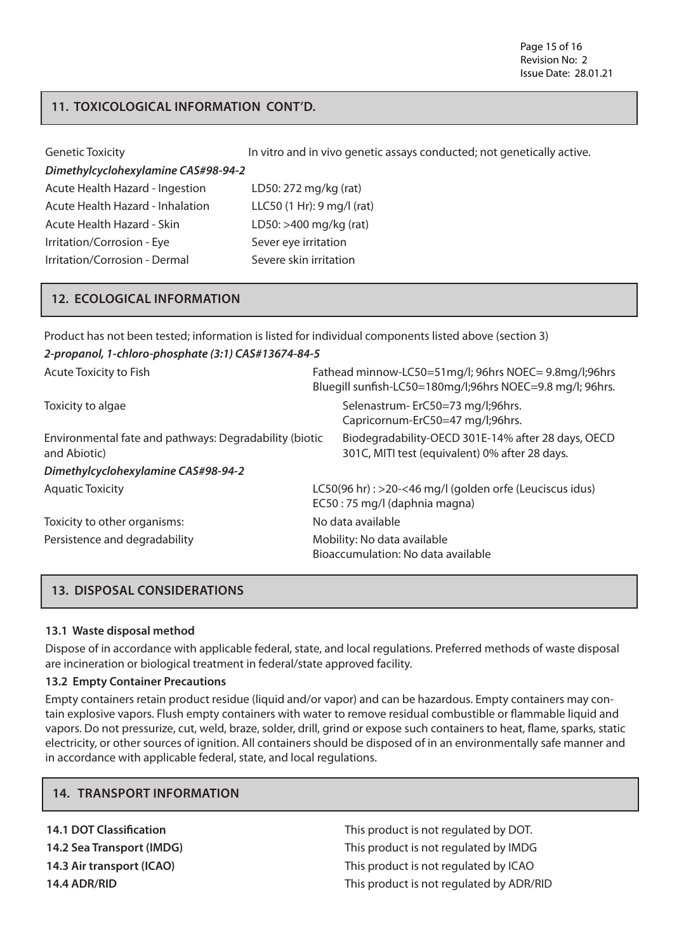# **11. TOXICOLOGICAL INFORMATION CONT'D.**

| <b>Genetic Toxicity</b>             | In vitro and in vivo genetic assays conducted; not genetically active. |
|-------------------------------------|------------------------------------------------------------------------|
| Dimethylcyclohexylamine CAS#98-94-2 |                                                                        |
| Acute Health Hazard - Ingestion     | LD50: 272 mg/kg (rat)                                                  |
| Acute Health Hazard - Inhalation    | LLC50 (1 Hr): 9 mg/l (rat)                                             |
| Acute Health Hazard - Skin          | LD50: >400 mg/kg (rat)                                                 |
| Irritation/Corrosion - Eye          | Sever eye irritation                                                   |
| Irritation/Corrosion - Dermal       | Severe skin irritation                                                 |

#### **12. ECOLOGICAL INFORMATION**

| Product has not been tested; information is listed for individual components listed above (section 3) |                                                                                                                    |  |
|-------------------------------------------------------------------------------------------------------|--------------------------------------------------------------------------------------------------------------------|--|
| 2-propanol, 1-chloro-phosphate (3:1) CAS#13674-84-5                                                   |                                                                                                                    |  |
| Acute Toxicity to Fish                                                                                | Fathead minnow-LC50=51mg/l; 96hrs NOEC= 9.8mg/l;96hrs<br>Bluegill sunfish-LC50=180mg/l;96hrs NOEC=9.8 mg/l; 96hrs. |  |
| Toxicity to algae                                                                                     | Selenastrum-ErC50=73 mg/l;96hrs.<br>Capricornum-ErC50=47 mg/l;96hrs.                                               |  |
| Environmental fate and pathways: Degradability (biotic<br>and Abiotic)                                | Biodegradability-OECD 301E-14% after 28 days, OECD<br>301C, MITI test (equivalent) 0% after 28 days.               |  |
| Dimethylcyclohexylamine CAS#98-94-2                                                                   |                                                                                                                    |  |
| <b>Aquatic Toxicity</b>                                                                               | LC50(96 hr): >20-<46 mg/l (golden orfe (Leuciscus idus)<br>EC50:75 mg/l (daphnia magna)                            |  |
| Toxicity to other organisms:                                                                          | No data available                                                                                                  |  |
| Persistence and degradability                                                                         | Mobility: No data available<br>Bioaccumulation: No data available                                                  |  |

# **13. DISPOSAL CONSIDERATIONS**

#### **13.1 Waste disposal method**

Dispose of in accordance with applicable federal, state, and local regulations. Preferred methods of waste disposal are incineration or biological treatment in federal/state approved facility.

#### **13.2 Empty Container Precautions**

**14. TRANSPORT INFORMATION**

Empty containers retain product residue (liquid and/or vapor) and can be hazardous. Empty containers may contain explosive vapors. Flush empty containers with water to remove residual combustible or flammable liquid and vapors. Do not pressurize, cut, weld, braze, solder, drill, grind or expose such containers to heat, flame, sparks, static electricity, or other sources of ignition. All containers should be disposed of in an environmentally safe manner and in accordance with applicable federal, state, and local regulations.

| <b>14.1 DOT Classification</b> | This product is not regulated by DOT.    |
|--------------------------------|------------------------------------------|
| 14.2 Sea Transport (IMDG)      | This product is not regulated by IMDG    |
| 14.3 Air transport (ICAO)      | This product is not regulated by ICAO    |
| 14.4 ADR/RID                   | This product is not regulated by ADR/RID |